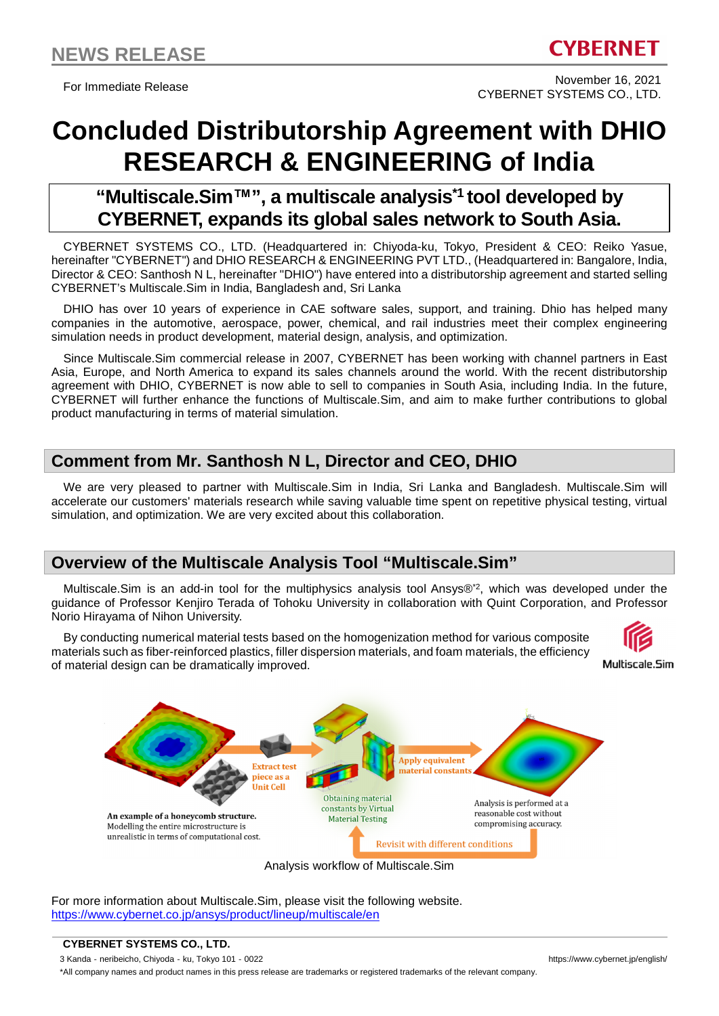For Immediate Release November 16, 2021 CYBERNET SYSTEMS CO., LTD.

# **Concluded Distributorship Agreement with DHIO RESEARCH & ENGINEERING of India**

## **"Multiscale.Sim™", a multiscale analysis\*1 tool developed by CYBERNET, expands its global sales network to South Asia.**

CYBERNET SYSTEMS CO., LTD. (Headquartered in: Chiyoda-ku, Tokyo, President & CEO: Reiko Yasue, hereinafter "CYBERNET") and DHIO RESEARCH & ENGINEERING PVT LTD., (Headquartered in: Bangalore, India, Director & CEO: Santhosh N L, hereinafter "DHIO") have entered into a distributorship agreement and started selling CYBERNET's Multiscale.Sim in India, Bangladesh and, Sri Lanka

DHIO has over 10 years of experience in CAE software sales, support, and training. Dhio has helped many companies in the automotive, aerospace, power, chemical, and rail industries meet their complex engineering simulation needs in product development, material design, analysis, and optimization.

Since Multiscale.Sim commercial release in 2007, CYBERNET has been working with channel partners in East Asia, Europe, and North America to expand its sales channels around the world. With the recent distributorship agreement with DHIO, CYBERNET is now able to sell to companies in South Asia, including India. In the future, CYBERNET will further enhance the functions of Multiscale.Sim, and aim to make further contributions to global product manufacturing in terms of material simulation.

## **Comment from Mr. Santhosh N L, Director and CEO, DHIO**

We are very pleased to partner with Multiscale.Sim in India, Sri Lanka and Bangladesh. Multiscale.Sim will accelerate our customers' materials research while saving valuable time spent on repetitive physical testing, virtual simulation, and optimization. We are very excited about this collaboration.

## **Overview of the Multiscale Analysis Tool "Multiscale.Sim"**

Multiscale.Sim is an add-in tool for the multiphysics analysis tool Ansys®\*2, which was developed under the guidance of Professor Kenjiro Terada of Tohoku University in collaboration with Quint Corporation, and Professor Norio Hirayama of Nihon University.

By conducting numerical material tests based on the homogenization method for various composite materials such as fiber-reinforced plastics, filler dispersion materials, and foam materials, the efficiency of material design can be dramatically improved.







For more information about Multiscale.Sim, please visit the following website. https://www.cybernet.co.jp/ansys/product/lineup/multiscale/en

**CYBERNET SYSTEMS CO., LTD.**

3 Kanda - neribeicho, Chiyoda - ku, Tokyo 101 - 0022 https://www.cybernet.jp/english/

\*All company names and product names in this press release are trademarks or registered trademarks of the relevant company.